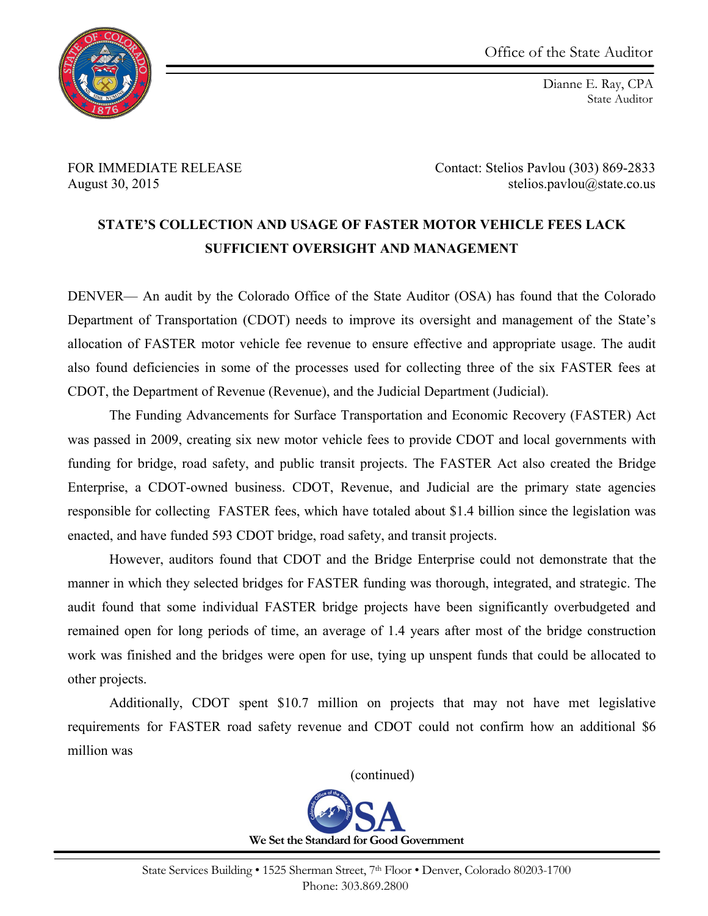

Dianne E. Ray, CPA State Auditor

FOR IMMEDIATE RELEASE Contact: Stelios Pavlou (303) 869-2833 August 30, 2015 stelios.pavlou@state.co.us

## **STATE'S COLLECTION AND USAGE OF FASTER MOTOR VEHICLE FEES LACK SUFFICIENT OVERSIGHT AND MANAGEMENT**

DENVER— An audit by the Colorado Office of the State Auditor (OSA) has found that the Colorado Department of Transportation (CDOT) needs to improve its oversight and management of the State's allocation of FASTER motor vehicle fee revenue to ensure effective and appropriate usage. The audit also found deficiencies in some of the processes used for collecting three of the six FASTER fees at CDOT, the Department of Revenue (Revenue), and the Judicial Department (Judicial).

The Funding Advancements for Surface Transportation and Economic Recovery (FASTER) Act was passed in 2009, creating six new motor vehicle fees to provide CDOT and local governments with funding for bridge, road safety, and public transit projects. The FASTER Act also created the Bridge Enterprise, a CDOT-owned business. CDOT, Revenue, and Judicial are the primary state agencies responsible for collecting FASTER fees, which have totaled about \$1.4 billion since the legislation was enacted, and have funded 593 CDOT bridge, road safety, and transit projects.

However, auditors found that CDOT and the Bridge Enterprise could not demonstrate that the manner in which they selected bridges for FASTER funding was thorough, integrated, and strategic. The audit found that some individual FASTER bridge projects have been significantly overbudgeted and remained open for long periods of time, an average of 1.4 years after most of the bridge construction work was finished and the bridges were open for use, tying up unspent funds that could be allocated to other projects.

Additionally, CDOT spent \$10.7 million on projects that may not have met legislative requirements for FASTER road safety revenue and CDOT could not confirm how an additional \$6 million was